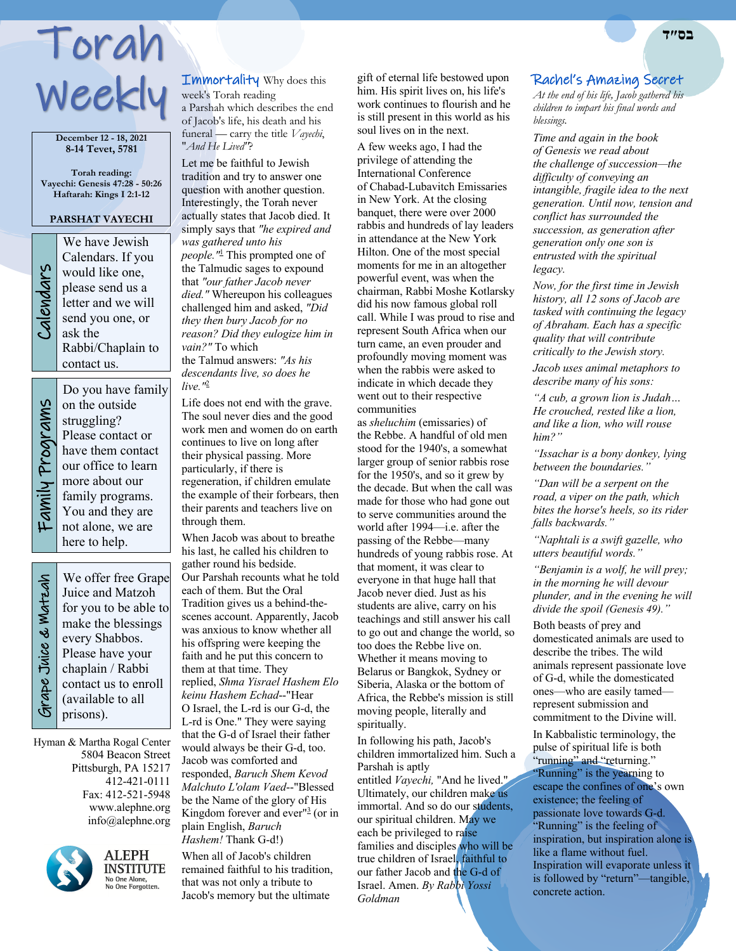# Torah Weekly

**December 12 - 18, 2021 8-14 Tevet, 5781**

**Torah reading: Vayechi: Genesis 47:28 - 50:26 Haftarah: Kings I 2:1-12**

#### **PARSHAT VAYECHI**

We have Jewish<br>Calendars. If you<br>would like one,<br>please send us a<br>letter and we will<br>send you one, or<br>ask the Calendars. If you would like one, please send us a letter and we will send you one, or ask the Rabbi/Chaplain to contact us.

> Do you have family on the outside struggling? Please contact or have them contact our office to learn

Family Programs Family Programs

more about our family programs. You and they are not alone, we are here to help.We offer free Grape Juice and Matzoh make the blessings

 Grape Juice & Matzah Grape Juice & Watzah

for you to be able to every Shabbos. Please have your chaplain / Rabbi contact us to enroll (available to all prisons).

Hyman & Martha Rogal Center 5804 Beacon Street Pittsburgh, PA 15217 412-421-0111 Fax: 412-521-5948 www.alephne.org info@alephne.org



**ALEPH** INSTITUTE No One Alone,<br>No One Forgotten.

Immortality Why does this week's Torah reading a Parshah which describes the end

of Jacob's life, his death and his funeral — carry the title *Vayechi*, "*And He Lived"*?

Let me be faithful to Jewish tradition and try to answer one question with another question. Interestingly, the Torah never actually states that Jacob died. It simply says that *"he expired and was gathered unto his people."*<sup>1</sup> This prompted one of the Talmudic sages to expound that *"our father Jacob never died."* Whereupon his colleagues challenged him and asked, *"Did they then bury Jacob for no reason? Did they eulogize him in vain?"* To which the Talmud answers: *"As his* 

*descendants live, so does he live."*<sup>2</sup>

Life does not end with the grave. The soul never dies and the good work men and women do on earth continues to live on long after their physical passing. More particularly, if there is regeneration, if children emulate the example of their forbears, then their parents and teachers live on through them.

When Jacob was about to breathe his last, he called his children to gather round his bedside. Our Parshah recounts what he told each of them. But the Oral Tradition gives us a behind-thescenes account. Apparently, Jacob was anxious to know whether all his offspring were keeping the faith and he put this concern to them at that time. They replied, *Shma Yisrael Hashem Elo keinu Hashem Echad*--"Hear O Israel, the L-rd is our G-d, the L-rd is One." They were saying that the G-d of Israel their father would always be their G-d, too. Jacob was comforted and responded, *Baruch Shem Kevod Malchuto L'olam Vaed*--"Blessed be the Name of the glory of His Kingdom forever and ever"3 (or in plain English, *Baruch Hashem!* Thank G-d!)

When all of Jacob's children remained faithful to his tradition, that was not only a tribute to Jacob's memory but the ultimate

gift of eternal life bestowed upon him. His spirit lives on, his life's work continues to flourish and he is still present in this world as his soul lives on in the next.

A few weeks ago, I had the privilege of attending the International Conference of Chabad-Lubavitch Emissaries in New York. At the closing banquet, there were over 2000 rabbis and hundreds of lay leaders in attendance at the New York Hilton. One of the most special moments for me in an altogether powerful event, was when the chairman, Rabbi Moshe Kotlarsky did his now famous global roll call. While I was proud to rise and represent South Africa when our turn came, an even prouder and profoundly moving moment was when the rabbis were asked to indicate in which decade they went out to their respective communities

as *sheluchim* (emissaries) of the Rebbe. A handful of old men stood for the 1940's, a somewhat larger group of senior rabbis rose for the 1950's, and so it grew by the decade. But when the call was made for those who had gone out to serve communities around the world after 1994—i.e. after the passing of the Rebbe—many hundreds of young rabbis rose. At that moment, it was clear to everyone in that huge hall that Jacob never died. Just as his students are alive, carry on his teachings and still answer his call to go out and change the world, so too does the Rebbe live on. Whether it means moving to Belarus or Bangkok, Sydney or Siberia, Alaska or the bottom of Africa, the Rebbe's mission is still moving people, literally and spiritually.

In following his path, Jacob's children immortalized him. Such a Parshah is aptly entitled *Vayechi,* "And he lived." Ultimately, our children make us immortal. And so do our students, our spiritual children. May we each be privileged to raise families and disciples who will be true children of Israel, faithful to our father Jacob and the G-d of Israel. Amen. *By Rabbi Yossi Goldman*

#### Rachel's Amazing Secret

*At the end of his life, Jacob gathered his children to impart his final words and blessings.*

*Time and again in the book of Genesis we read about the challenge of succession—the difficulty of conveying an intangible, fragile idea to the next generation. Until now, tension and conflict has surrounded the succession, as generation after generation only one son is entrusted with the spiritual legacy.*

*Now, for the first time in Jewish history, all 12 sons of Jacob are tasked with continuing the legacy of Abraham. Each has a specific quality that will contribute critically to the Jewish story.*

*Jacob uses animal metaphors to describe many of his sons:*

*"A cub, a grown lion is Judah… He crouched, rested like a lion, and like a lion, who will rouse him?"*

*"Issachar is a bony donkey, lying between the boundaries."*

*"Dan will be a serpent on the road, a viper on the path, which bites the horse's heels, so its rider falls backwards."*

*"Naphtali is a swift gazelle, who utters beautiful words."*

*"Benjamin is a wolf, he will prey; in the morning he will devour plunder, and in the evening he will divide the spoil (Genesis 49)."*

Both beasts of prey and domesticated animals are used to describe the tribes. The wild animals represent passionate love of G-d, while the domesticated ones—who are easily tamed represent submission and commitment to the Divine will.

In Kabbalistic terminology, the pulse of spiritual life is both "running" and "returning." "Running" is the yearning to escape the confines of one's own existence; the feeling of passionate love towards G-d. "Running" is the feeling of inspiration, but inspiration alone is like a flame without fuel. Inspiration will evaporate unless it is followed by "return"—tangible, concrete action.